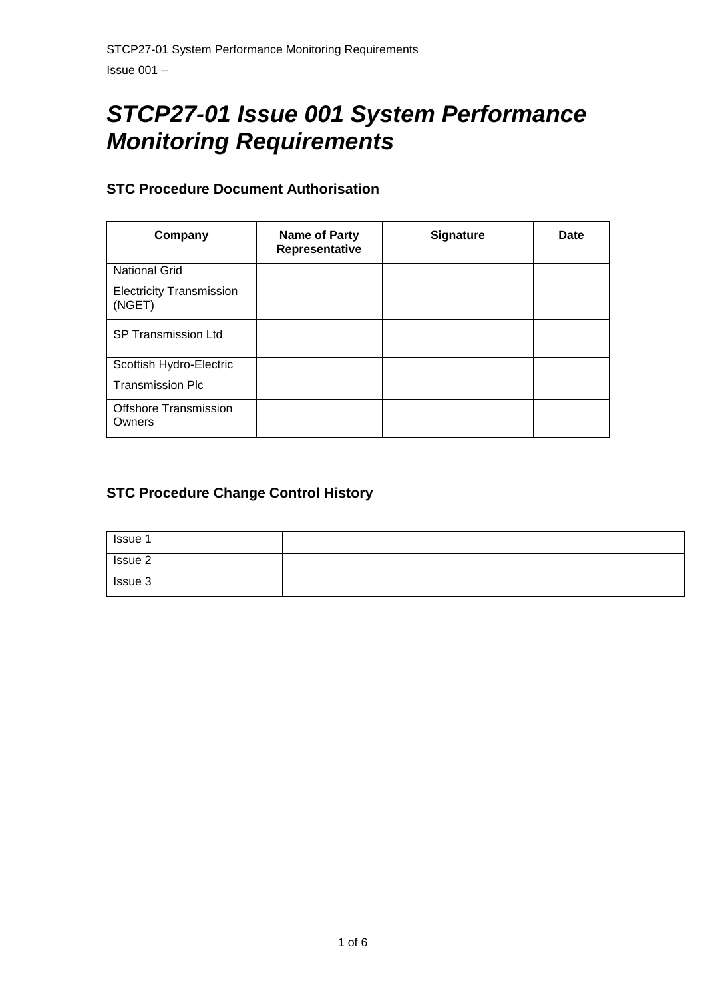# *STCP27-01 Issue 001 System Performance Monitoring Requirements*

# **STC Procedure Document Authorisation**

| Company                                   | <b>Name of Party</b><br>Representative | <b>Signature</b> | Date |
|-------------------------------------------|----------------------------------------|------------------|------|
| <b>National Grid</b>                      |                                        |                  |      |
| <b>Electricity Transmission</b><br>(NGET) |                                        |                  |      |
| <b>SP Transmission Ltd</b>                |                                        |                  |      |
| Scottish Hydro-Electric                   |                                        |                  |      |
| <b>Transmission Plc</b>                   |                                        |                  |      |
| <b>Offshore Transmission</b><br>Owners    |                                        |                  |      |

# **STC Procedure Change Control History**

| Issue 1 |  |
|---------|--|
| Issue 2 |  |
| Issue 3 |  |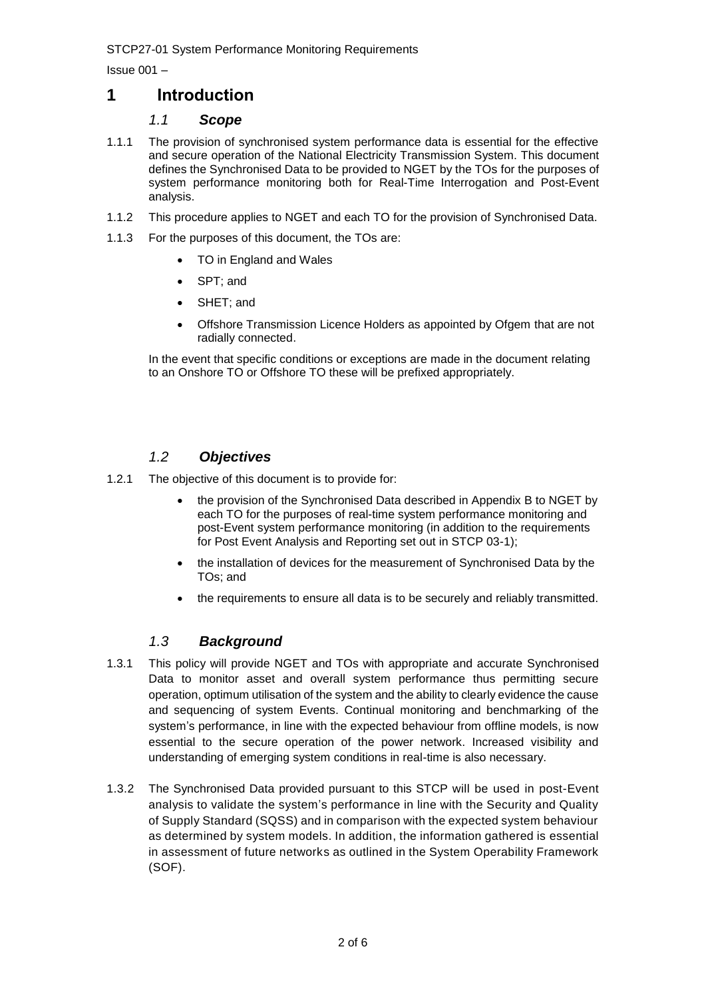STCP27-01 System Performance Monitoring Requirements

Issue 001 –

# **1 Introduction**

#### *1.1 Scope*

- 1.1.1 The provision of synchronised system performance data is essential for the effective and secure operation of the National Electricity Transmission System. This document defines the Synchronised Data to be provided to NGET by the TOs for the purposes of system performance monitoring both for Real-Time Interrogation and Post-Event analysis.
- 1.1.2 This procedure applies to NGET and each TO for the provision of Synchronised Data.
- 1.1.3 For the purposes of this document, the TOs are:
	- TO in England and Wales
	- SPT: and
	- SHET; and
	- Offshore Transmission Licence Holders as appointed by Ofgem that are not radially connected.

In the event that specific conditions or exceptions are made in the document relating to an Onshore TO or Offshore TO these will be prefixed appropriately.

# *1.2 Objectives*

- 1.2.1 The objective of this document is to provide for:
	- the provision of the Synchronised Data described in Appendix B to NGET by each TO for the purposes of real-time system performance monitoring and post-Event system performance monitoring (in addition to the requirements for Post Event Analysis and Reporting set out in STCP 03-1);
	- the installation of devices for the measurement of Synchronised Data by the TOs; and
	- the requirements to ensure all data is to be securely and reliably transmitted.

# *1.3 Background*

- 1.3.1 This policy will provide NGET and TOs with appropriate and accurate Synchronised Data to monitor asset and overall system performance thus permitting secure operation, optimum utilisation of the system and the ability to clearly evidence the cause and sequencing of system Events. Continual monitoring and benchmarking of the system's performance, in line with the expected behaviour from offline models, is now essential to the secure operation of the power network. Increased visibility and understanding of emerging system conditions in real-time is also necessary.
- 1.3.2 The Synchronised Data provided pursuant to this STCP will be used in post-Event analysis to validate the system's performance in line with the Security and Quality of Supply Standard (SQSS) and in comparison with the expected system behaviour as determined by system models. In addition, the information gathered is essential in assessment of future networks as outlined in the System Operability Framework (SOF).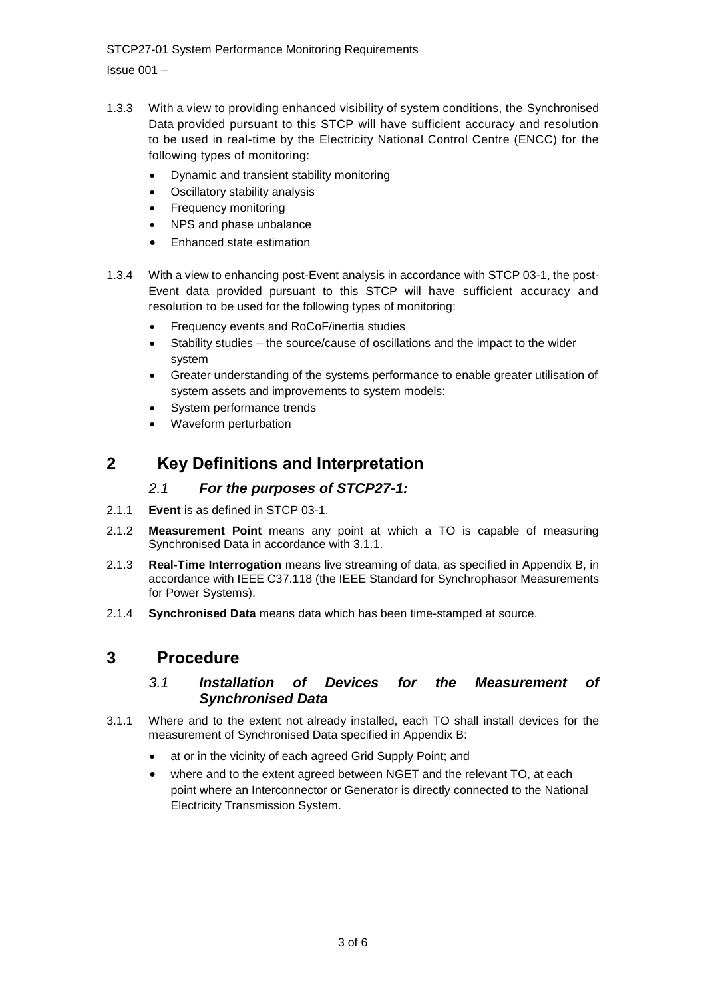STCP27-01 System Performance Monitoring Requirements

Issue 001 –

- 1.3.3 With a view to providing enhanced visibility of system conditions, the Synchronised Data provided pursuant to this STCP will have sufficient accuracy and resolution to be used in real-time by the Electricity National Control Centre (ENCC) for the following types of monitoring:
	- Dynamic and transient stability monitoring
	- Oscillatory stability analysis
	- Frequency monitoring
	- NPS and phase unbalance
	- Enhanced state estimation
- 1.3.4 With a view to enhancing post-Event analysis in accordance with STCP 03-1, the post-Event data provided pursuant to this STCP will have sufficient accuracy and resolution to be used for the following types of monitoring:
	- Frequency events and RoCoF/inertia studies
	- Stability studies the source/cause of oscillations and the impact to the wider system
	- Greater understanding of the systems performance to enable greater utilisation of system assets and improvements to system models:
	- System performance trends
	- Waveform perturbation

# **2 Key Definitions and Interpretation**

#### *2.1 For the purposes of STCP27-1:*

- 2.1.1 **Event** is as defined in STCP 03-1.
- 2.1.2 **Measurement Point** means any point at which a TO is capable of measuring Synchronised Data in accordance with 3.1.1.
- 2.1.3 **Real-Time Interrogation** means live streaming of data, as specified in Appendix B, in accordance with IEEE C37.118 (the IEEE Standard for Synchrophasor Measurements for Power Systems).
- 2.1.4 **Synchronised Data** means data which has been time-stamped at source.

# **3 Procedure**

#### *3.1 Installation of Devices for the Measurement of Synchronised Data*

- 3.1.1 Where and to the extent not already installed, each TO shall install devices for the measurement of Synchronised Data specified in Appendix B:
	- at or in the vicinity of each agreed Grid Supply Point; and
	- where and to the extent agreed between NGET and the relevant TO, at each point where an Interconnector or Generator is directly connected to the National Electricity Transmission System.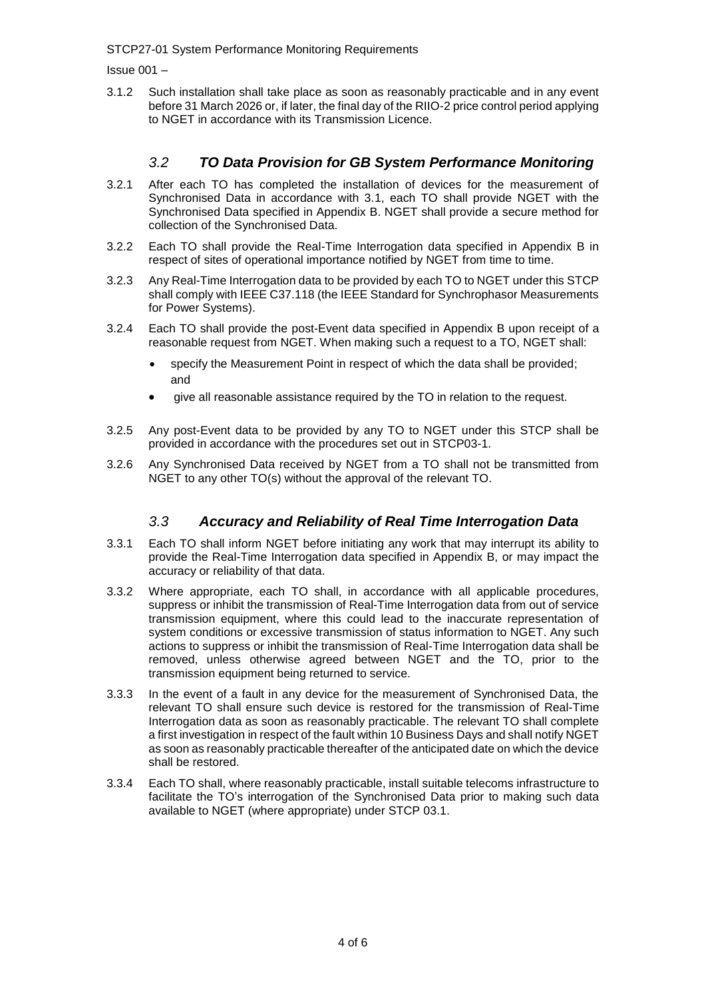STCP27-01 System Performance Monitoring Requirements

Issue 001 –

3.1.2 Such installation shall take place as soon as reasonably practicable and in any event before 31 March 2026 or, if later, the final day of the RIIO-2 price control period applying to NGET in accordance with its Transmission Licence.

#### *3.2 TO Data Provision for GB System Performance Monitoring*

- 3.2.1 After each TO has completed the installation of devices for the measurement of Synchronised Data in accordance with 3.1, each TO shall provide NGET with the Synchronised Data specified in Appendix B. NGET shall provide a secure method for collection of the Synchronised Data.
- 3.2.2 Each TO shall provide the Real-Time Interrogation data specified in Appendix B in respect of sites of operational importance notified by NGET from time to time.
- 3.2.3 Any Real-Time Interrogation data to be provided by each TO to NGET under this STCP shall comply with IEEE C37.118 (the IEEE Standard for Synchrophasor Measurements for Power Systems).
- 3.2.4 Each TO shall provide the post-Event data specified in Appendix B upon receipt of a reasonable request from NGET. When making such a request to a TO, NGET shall:
	- specify the Measurement Point in respect of which the data shall be provided; and
	- give all reasonable assistance required by the TO in relation to the request.
- 3.2.5 Any post-Event data to be provided by any TO to NGET under this STCP shall be provided in accordance with the procedures set out in STCP03-1.
- 3.2.6 Any Synchronised Data received by NGET from a TO shall not be transmitted from NGET to any other TO(s) without the approval of the relevant TO.

#### *3.3 Accuracy and Reliability of Real Time Interrogation Data*

- 3.3.1 Each TO shall inform NGET before initiating any work that may interrupt its ability to provide the Real-Time Interrogation data specified in Appendix B, or may impact the accuracy or reliability of that data.
- 3.3.2 Where appropriate, each TO shall, in accordance with all applicable procedures, suppress or inhibit the transmission of Real-Time Interrogation data from out of service transmission equipment, where this could lead to the inaccurate representation of system conditions or excessive transmission of status information to NGET. Any such actions to suppress or inhibit the transmission of Real-Time Interrogation data shall be removed, unless otherwise agreed between NGET and the TO, prior to the transmission equipment being returned to service.
- 3.3.3 In the event of a fault in any device for the measurement of Synchronised Data, the relevant TO shall ensure such device is restored for the transmission of Real-Time Interrogation data as soon as reasonably practicable. The relevant TO shall complete a first investigation in respect of the fault within 10 Business Days and shall notify NGET as soon as reasonably practicable thereafter of the anticipated date on which the device shall be restored.
- 3.3.4 Each TO shall, where reasonably practicable, install suitable telecoms infrastructure to facilitate the TO's interrogation of the Synchronised Data prior to making such data available to NGET (where appropriate) under STCP 03.1.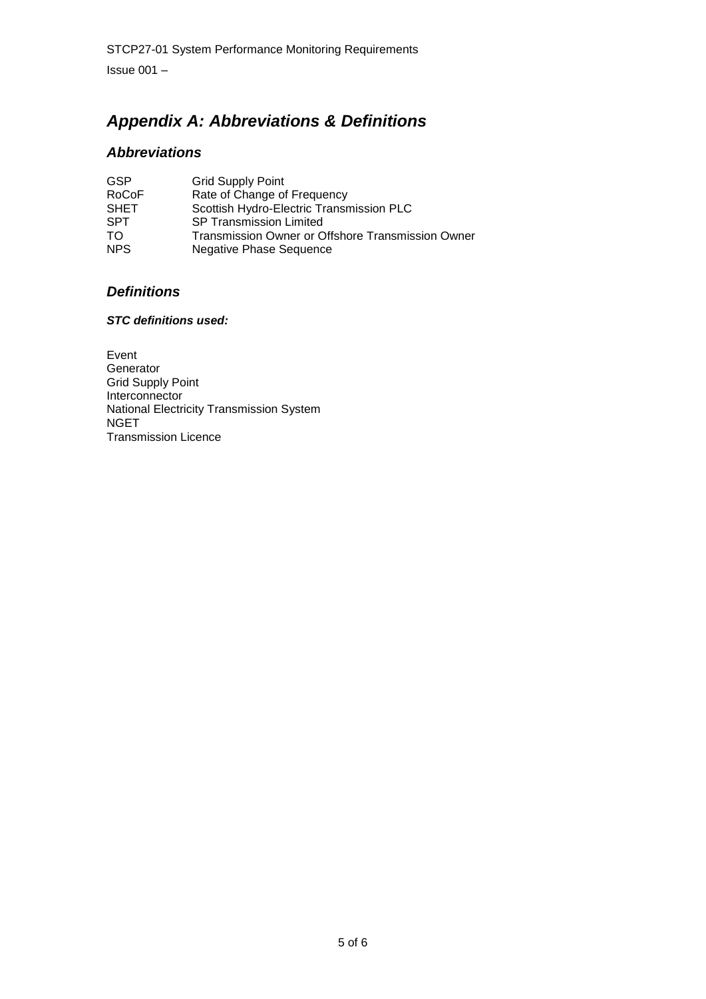# *Appendix A: Abbreviations & Definitions*

# *Abbreviations*

| <b>GSP</b>   | <b>Grid Supply Point</b>                          |
|--------------|---------------------------------------------------|
| <b>RoCoF</b> | Rate of Change of Frequency                       |
| <b>SHET</b>  | Scottish Hydro-Electric Transmission PLC          |
| <b>SPT</b>   | <b>SP Transmission Limited</b>                    |
| TO.          | Transmission Owner or Offshore Transmission Owner |
| <b>NPS</b>   | <b>Negative Phase Sequence</b>                    |

# *Definitions*

#### *STC definitions used:*

Event Generator Grid Supply Point Interconnector National Electricity Transmission System **NGET** Transmission Licence